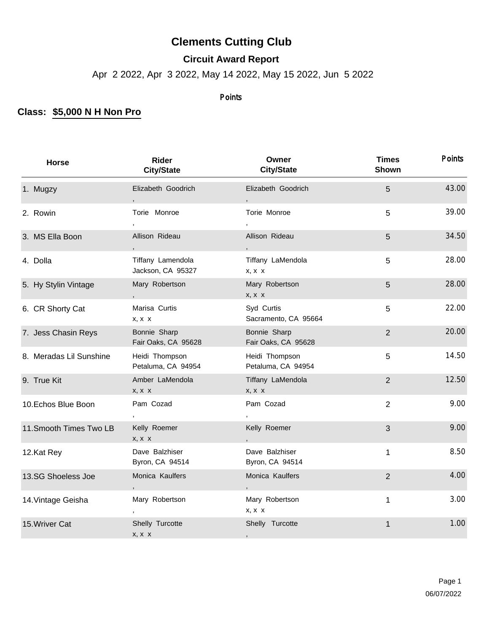## **Clements Cutting Club**

**Circuit Award Report**

Apr 2 2022, Apr 3 2022, May 14 2022, May 15 2022, Jun 5 2022

## Points

## **Class: \$5,000 N H Non Pro**

| Horse                   | Rider<br><b>City/State</b>             | Owner<br><b>City/State</b>           | <b>Times</b><br>Shown | <b>Points</b> |
|-------------------------|----------------------------------------|--------------------------------------|-----------------------|---------------|
| 1. Mugzy                | Elizabeth Goodrich                     | Elizabeth Goodrich                   | 5                     | 43.00         |
| 2. Rowin                | Torie Monroe                           | Torie Monroe                         | 5                     | 39.00         |
| 3. MS Ella Boon         | Allison Rideau                         | Allison Rideau                       | 5                     | 34.50         |
| 4. Dolla                | Tiffany Lamendola<br>Jackson, CA 95327 | Tiffany LaMendola<br>$X, X \ X$      | 5                     | 28.00         |
| 5. Hy Stylin Vintage    | Mary Robertson                         | Mary Robertson<br>$X, X \ X$         | 5                     | 28.00         |
| 6. CR Shorty Cat        | Marisa Curtis<br>$X, X \ X$            | Syd Curtis<br>Sacramento, CA 95664   | 5                     | 22.00         |
| 7. Jess Chasin Reys     | Bonnie Sharp<br>Fair Oaks, CA 95628    | Bonnie Sharp<br>Fair Oaks, CA 95628  | $\overline{2}$        | 20.00         |
| 8. Meradas Lil Sunshine | Heidi Thompson<br>Petaluma, CA 94954   | Heidi Thompson<br>Petaluma, CA 94954 | 5                     | 14.50         |
| 9. True Kit             | Amber LaMendola<br>x, x x              | Tiffany LaMendola<br>$X, X \ X$      | $\overline{2}$        | 12.50         |
| 10. Echos Blue Boon     | Pam Cozad                              | Pam Cozad                            | $\overline{2}$        | 9.00          |
| 11. Smooth Times Two LB | Kelly Roemer<br>$X, X \ X$             | Kelly Roemer                         | 3                     | 9.00          |
| 12.Kat Rey              | Dave Balzhiser<br>Byron, CA 94514      | Dave Balzhiser<br>Byron, CA 94514    | $\mathbf{1}$          | 8.50          |
| 13.SG Shoeless Joe      | Monica Kaulfers                        | Monica Kaulfers                      | $\overline{2}$        | 4.00          |
| 14. Vintage Geisha      | Mary Robertson                         | Mary Robertson<br>x, x x             | $\mathbf{1}$          | 3.00          |
| 15. Wriver Cat          | Shelly Turcotte<br>$X, X \ X$          | Shelly Turcotte                      | 1                     | 1.00          |